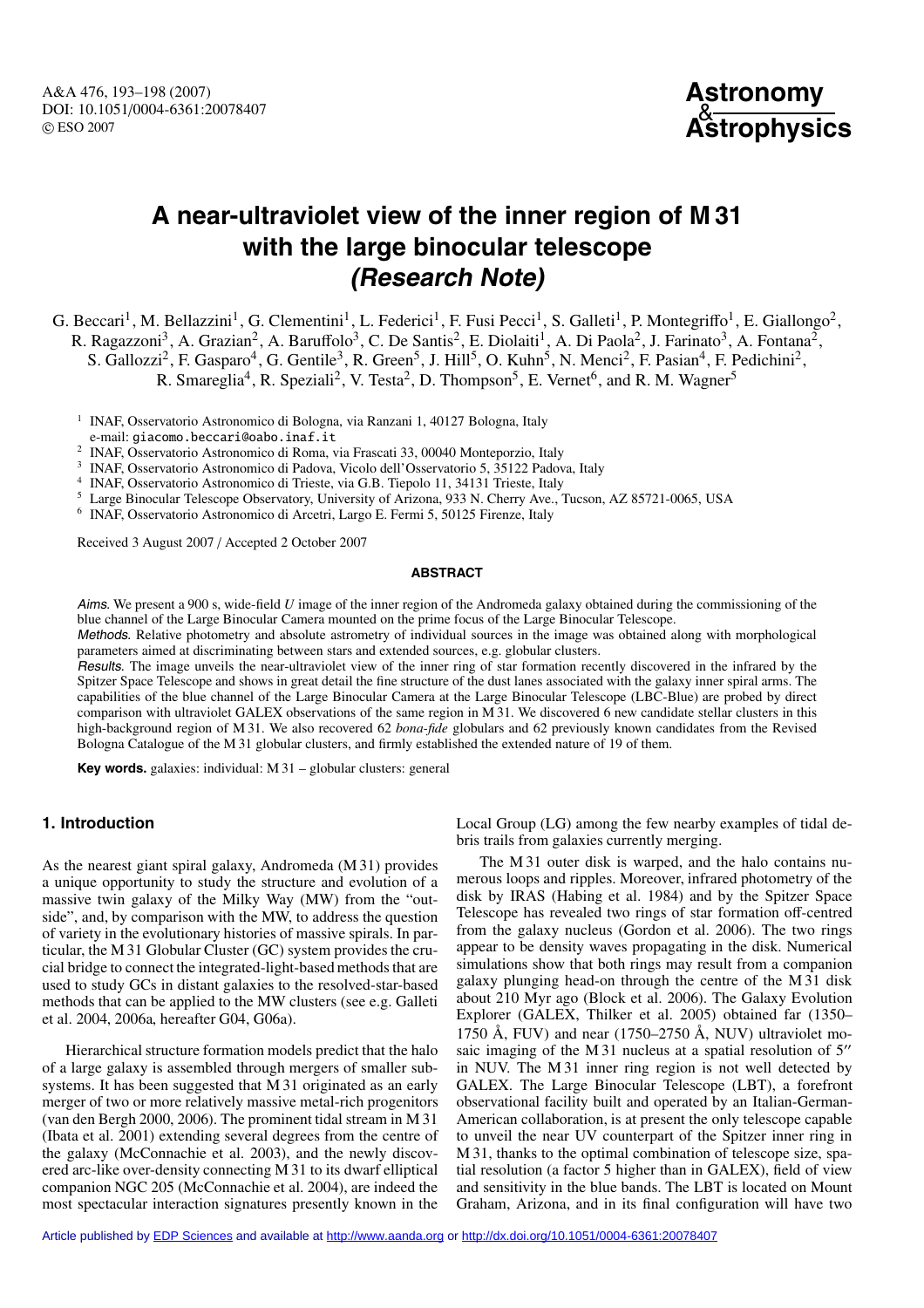A&A 476, 193–198 (2007) DOI: 10.1051/0004-6361:20078407 c ESO 2007



# **A near-ultraviolet view of the inner region of M 31 with the large binocular telescope (Research Note)**

G. Beccari<sup>1</sup>, M. Bellazzini<sup>1</sup>, G. Clementini<sup>1</sup>, L. Federici<sup>1</sup>, F. Fusi Pecci<sup>1</sup>, S. Galleti<sup>1</sup>, P. Montegriffo<sup>1</sup>, E. Giallongo<sup>2</sup>, R. Ragazzoni<sup>3</sup>, A. Grazian<sup>2</sup>, A. Baruffolo<sup>3</sup>, C. De Santis<sup>2</sup>, E. Diolaiti<sup>1</sup>, A. Di Paola<sup>2</sup>, J. Farinato<sup>3</sup>, A. Fontana<sup>2</sup>, S. Gallozzi<sup>2</sup>, F. Gasparo<sup>4</sup>, G. Gentile<sup>3</sup>, R. Green<sup>5</sup>, J. Hill<sup>5</sup>, O. Kuhn<sup>5</sup>, N. Menci<sup>2</sup>, F. Pasian<sup>4</sup>, F. Pedichini<sup>2</sup>, R. Smareglia<sup>4</sup>, R. Speziali<sup>2</sup>, V. Testa<sup>2</sup>, D. Thompson<sup>5</sup>, E. Vernet<sup>6</sup>, and R. M. Wagner<sup>5</sup>

<sup>1</sup> INAF, Osservatorio Astronomico di Bologna, via Ranzani 1, 40127 Bologna, Italy

e-mail: giacomo.beccari@oabo.inaf.it

<sup>2</sup> INAF, Osservatorio Astronomico di Roma, via Frascati 33, 00040 Monteporzio, Italy

<sup>3</sup> INAF, Osservatorio Astronomico di Padova, Vicolo dell'Osservatorio 5, 35122 Padova, Italy

<sup>4</sup> INAF, Osservatorio Astronomico di Trieste, via G.B. Tiepolo 11, 34131 Trieste, Italy

<sup>5</sup> Large Binocular Telescope Observatory, University of Arizona, 933 N. Cherry Ave., Tucson, AZ 85721-0065, USA

<sup>6</sup> INAF, Osservatorio Astronomico di Arcetri, Largo E. Fermi 5, 50125 Firenze, Italy

Received 3 August 2007 / Accepted 2 October 2007

#### **ABSTRACT**

Aims. We present a 900 s, wide-field *U* image of the inner region of the Andromeda galaxy obtained during the commissioning of the blue channel of the Large Binocular Camera mounted on the prime focus of the Large Binocular Telescope.

Methods. Relative photometry and absolute astrometry of individual sources in the image was obtained along with morphological parameters aimed at discriminating between stars and extended sources, e.g. globular clusters.

Results. The image unveils the near-ultraviolet view of the inner ring of star formation recently discovered in the infrared by the Spitzer Space Telescope and shows in great detail the fine structure of the dust lanes associated with the galaxy inner spiral arms. The capabilities of the blue channel of the Large Binocular Camera at the Large Binocular Telescope (LBC-Blue) are probed by direct comparison with ultraviolet GALEX observations of the same region in M 31. We discovered 6 new candidate stellar clusters in this high-background region of M 31. We also recovered 62 *bona-fide* globulars and 62 previously known candidates from the Revised Bologna Catalogue of the M 31 globular clusters, and firmly established the extended nature of 19 of them.

**Key words.** galaxies: individual: M 31 – globular clusters: general

## **1. Introduction**

As the nearest giant spiral galaxy, Andromeda (M 31) provides a unique opportunity to study the structure and evolution of a massive twin galaxy of the Milky Way (MW) from the "outside", and, by comparison with the MW, to address the question of variety in the evolutionary histories of massive spirals. In particular, the M 31 Globular Cluster (GC) system provides the crucial bridge to connect the integrated-light-based methods that are used to study GCs in distant galaxies to the resolved-star-based methods that can be applied to the MW clusters (see e.g. Galleti et al. 2004, 2006a, hereafter G04, G06a).

Hierarchical structure formation models predict that the halo of a large galaxy is assembled through mergers of smaller subsystems. It has been suggested that M 31 originated as an early merger of two or more relatively massive metal-rich progenitors (van den Bergh 2000, 2006). The prominent tidal stream in M 31 (Ibata et al. 2001) extending several degrees from the centre of the galaxy (McConnachie et al. 2003), and the newly discovered arc-like over-density connecting M 31 to its dwarf elliptical companion NGC 205 (McConnachie et al. 2004), are indeed the most spectacular interaction signatures presently known in the

Local Group (LG) among the few nearby examples of tidal debris trails from galaxies currently merging.

The M 31 outer disk is warped, and the halo contains numerous loops and ripples. Moreover, infrared photometry of the disk by IRAS (Habing et al. 1984) and by the Spitzer Space Telescope has revealed two rings of star formation off-centred from the galaxy nucleus (Gordon et al. 2006). The two rings appear to be density waves propagating in the disk. Numerical simulations show that both rings may result from a companion galaxy plunging head-on through the centre of the M 31 disk about 210 Myr ago (Block et al. 2006). The Galaxy Evolution Explorer (GALEX, Thilker et al. 2005) obtained far (1350– 1750 Å, FUV) and near  $(1750-2750 \text{ Å}, \text{NUV})$  ultraviolet mosaic imaging of the M 31 nucleus at a spatial resolution of  $5''$ in NUV. The M 31 inner ring region is not well detected by GALEX. The Large Binocular Telescope (LBT), a forefront observational facility built and operated by an Italian-German-American collaboration, is at present the only telescope capable to unveil the near UV counterpart of the Spitzer inner ring in M 31, thanks to the optimal combination of telescope size, spatial resolution (a factor 5 higher than in GALEX), field of view and sensitivity in the blue bands. The LBT is located on Mount Graham, Arizona, and in its final configuration will have two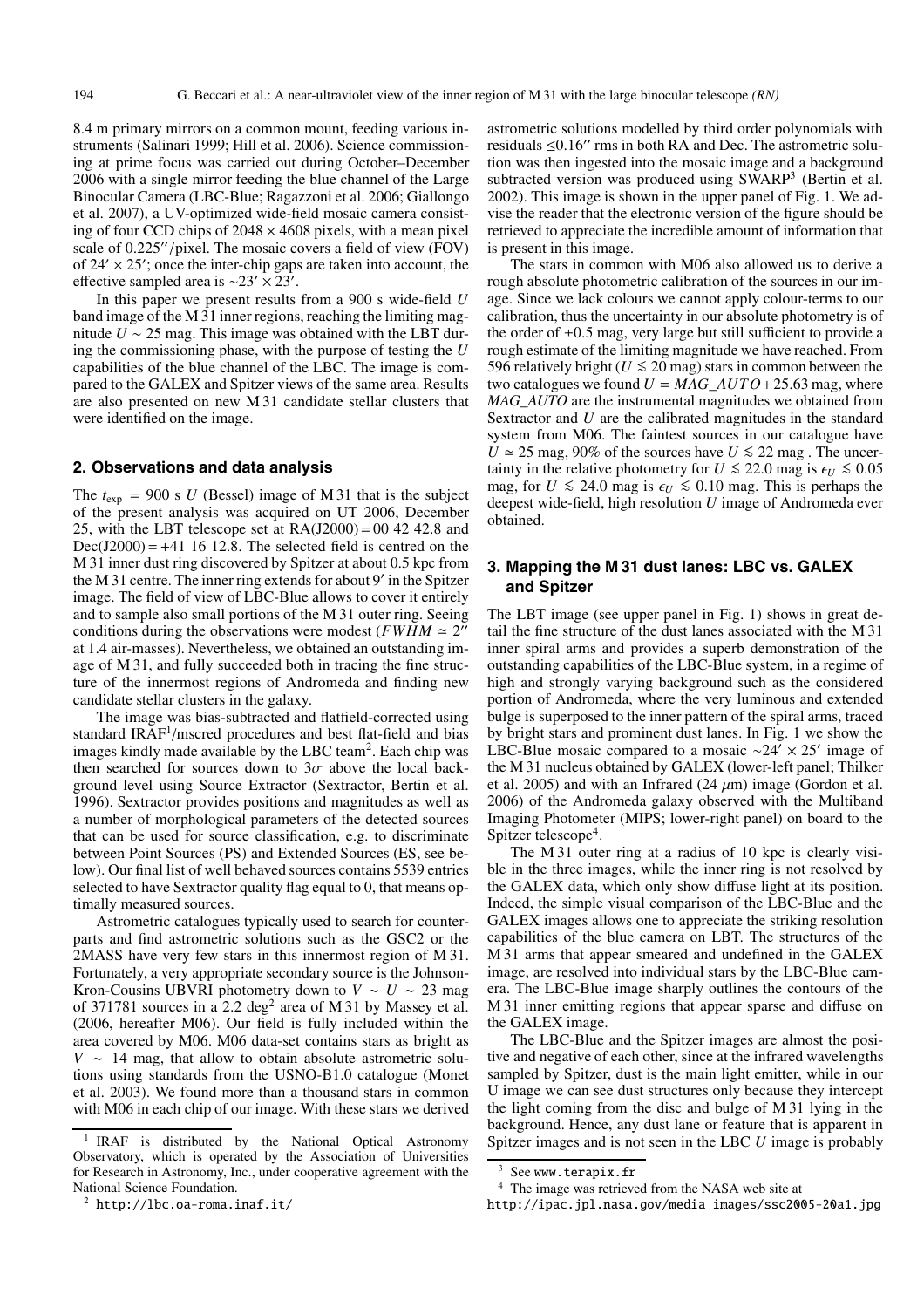8.4 m primary mirrors on a common mount, feeding various instruments (Salinari 1999; Hill et al. 2006). Science commissioning at prime focus was carried out during October–December 2006 with a single mirror feeding the blue channel of the Large Binocular Camera (LBC-Blue; Ragazzoni et al. 2006; Giallongo et al. 2007), a UV-optimized wide-field mosaic camera consisting of four CCD chips of  $2048 \times 4608$  pixels, with a mean pixel scale of 0.225"/pixel. The mosaic covers a field of view (FOV) of  $24' \times 25'$ ; once the inter-chip gaps are taken into account, the effective sampled area is  $\sim$ 23' × 23'.

In this paper we present results from a 900 s wide-field *U* band image of the M 31 inner regions, reaching the limiting magnitude *U* ∼ 25 mag. This image was obtained with the LBT during the commissioning phase, with the purpose of testing the *U* capabilities of the blue channel of the LBC. The image is compared to the GALEX and Spitzer views of the same area. Results are also presented on new M 31 candidate stellar clusters that were identified on the image.

### **2. Observations and data analysis**

The  $t_{\rm exp}$  = 900 s *U* (Bessel) image of M 31 that is the subject of the present analysis was acquired on UT 2006, December 25, with the LBT telescope set at  $RA(J2000) = 00$  42 42.8 and  $Dec(J2000) = +41$  16 12.8. The selected field is centred on the M 31 inner dust ring discovered by Spitzer at about 0.5 kpc from the M 31 centre. The inner ring extends for about 9' in the Spitzer image. The field of view of LBC-Blue allows to cover it entirely and to sample also small portions of the M 31 outer ring. Seeing conditions during the observations were modest ( $FWHM \approx 2$ " at 1.4 air-masses). Nevertheless, we obtained an outstanding image of M 31, and fully succeeded both in tracing the fine structure of the innermost regions of Andromeda and finding new candidate stellar clusters in the galaxy.

The image was bias-subtracted and flatfield-corrected using standard IRAF<sup>1</sup>/mscred procedures and best flat-field and bias images kindly made available by the LBC team<sup>2</sup>. Each chip was then searched for sources down to  $3\sigma$  above the local background level using Source Extractor (Sextractor, Bertin et al. 1996). Sextractor provides positions and magnitudes as well as a number of morphological parameters of the detected sources that can be used for source classification, e.g. to discriminate between Point Sources (PS) and Extended Sources (ES, see below). Our final list of well behaved sources contains 5539 entries selected to have Sextractor quality flag equal to 0, that means optimally measured sources.

Astrometric catalogues typically used to search for counterparts and find astrometric solutions such as the GSC2 or the 2MASS have very few stars in this innermost region of M 31. Fortunately, a very appropriate secondary source is the Johnson-Kron-Cousins UBVRI photometry down to  $V \sim U \sim 23$  mag of 371781 sources in a 2.2 deg<sup>2</sup> area of M 31 by Massey et al. (2006, hereafter M06). Our field is fully included within the area covered by M06. M06 data-set contains stars as bright as *V* ∼ 14 mag, that allow to obtain absolute astrometric solutions using standards from the USNO-B1.0 catalogue (Monet et al. 2003). We found more than a thousand stars in common with M06 in each chip of our image. With these stars we derived

<sup>1</sup> IRAF is distributed by the National Optical Astronomy Observatory, which is operated by the Association of Universities for Research in Astronomy, Inc., under cooperative agreement with the National Science Foundation.

astrometric solutions modelled by third order polynomials with residuals  $\leq 0.16''$  rms in both RA and Dec. The astrometric solution was then ingested into the mosaic image and a background subtracted version was produced using SWARP<sup>3</sup> (Bertin et al. 2002). This image is shown in the upper panel of Fig. 1. We advise the reader that the electronic version of the figure should be retrieved to appreciate the incredible amount of information that is present in this image.

The stars in common with M06 also allowed us to derive a rough absolute photometric calibration of the sources in our image. Since we lack colours we cannot apply colour-terms to our calibration, thus the uncertainty in our absolute photometry is of the order of  $\pm 0.5$  mag, very large but still sufficient to provide a rough estimate of the limiting magnitude we have reached. From 596 relatively bright ( $U \le 20$  mag) stars in common between the two catalogues we found  $U = MAG\_AUTO+25.63$  mag, where *MAG\_AUTO* are the instrumental magnitudes we obtained from Sextractor and *U* are the calibrated magnitudes in the standard system from M06. The faintest sources in our catalogue have  $U \approx 25$  mag, 90% of the sources have  $U \le 22$  mag. The uncertainty in the relative photometry for *U*  $\leq$  22.0 mag is  $\epsilon_U \leq 0.05$ <br>mag fan *U*  $\leq$  24.0 mag is  $\epsilon_U \leq 0.10$  mag This is prehand the mag, for *U* ≤ 24.0 mag is  $\epsilon$ *U* ≤ 0.10 mag. This is perhaps the deepest wide-field, high resolution *U* image of Andromeda ever obtained.

## **3. Mapping the M 31 dust lanes: LBC vs. GALEX and Spitzer**

The LBT image (see upper panel in Fig. 1) shows in great detail the fine structure of the dust lanes associated with the M 31 inner spiral arms and provides a superb demonstration of the outstanding capabilities of the LBC-Blue system, in a regime of high and strongly varying background such as the considered portion of Andromeda, where the very luminous and extended bulge is superposed to the inner pattern of the spiral arms, traced by bright stars and prominent dust lanes. In Fig. 1 we show the LBC-Blue mosaic compared to a mosaic ∼24'  $\times$  25' image of the M 31 nucleus obtained by GALEX (lower-left panel; Thilker et al. 2005) and with an Infrared (24  $\mu$ m) image (Gordon et al. 2006) of the Andromeda galaxy observed with the Multiband Imaging Photometer (MIPS; lower-right panel) on board to the Spitzer telescope<sup>4</sup>.

The M 31 outer ring at a radius of 10 kpc is clearly visible in the three images, while the inner ring is not resolved by the GALEX data, which only show diffuse light at its position. Indeed, the simple visual comparison of the LBC-Blue and the GALEX images allows one to appreciate the striking resolution capabilities of the blue camera on LBT. The structures of the M 31 arms that appear smeared and undefined in the GALEX image, are resolved into individual stars by the LBC-Blue camera. The LBC-Blue image sharply outlines the contours of the M 31 inner emitting regions that appear sparse and diffuse on the GALEX image.

The LBC-Blue and the Spitzer images are almost the positive and negative of each other, since at the infrared wavelengths sampled by Spitzer, dust is the main light emitter, while in our U image we can see dust structures only because they intercept the light coming from the disc and bulge of M 31 lying in the background. Hence, any dust lane or feature that is apparent in Spitzer images and is not seen in the LBC *U* image is probably

 $<sup>2</sup>$  http://lbc.oa-roma.inaf.it/</sup>

See www.terapix.fr

<sup>4</sup> The image was retrieved from the NASA web site at

http://ipac.jpl.nasa.gov/media\_images/ssc2005-20a1.jpg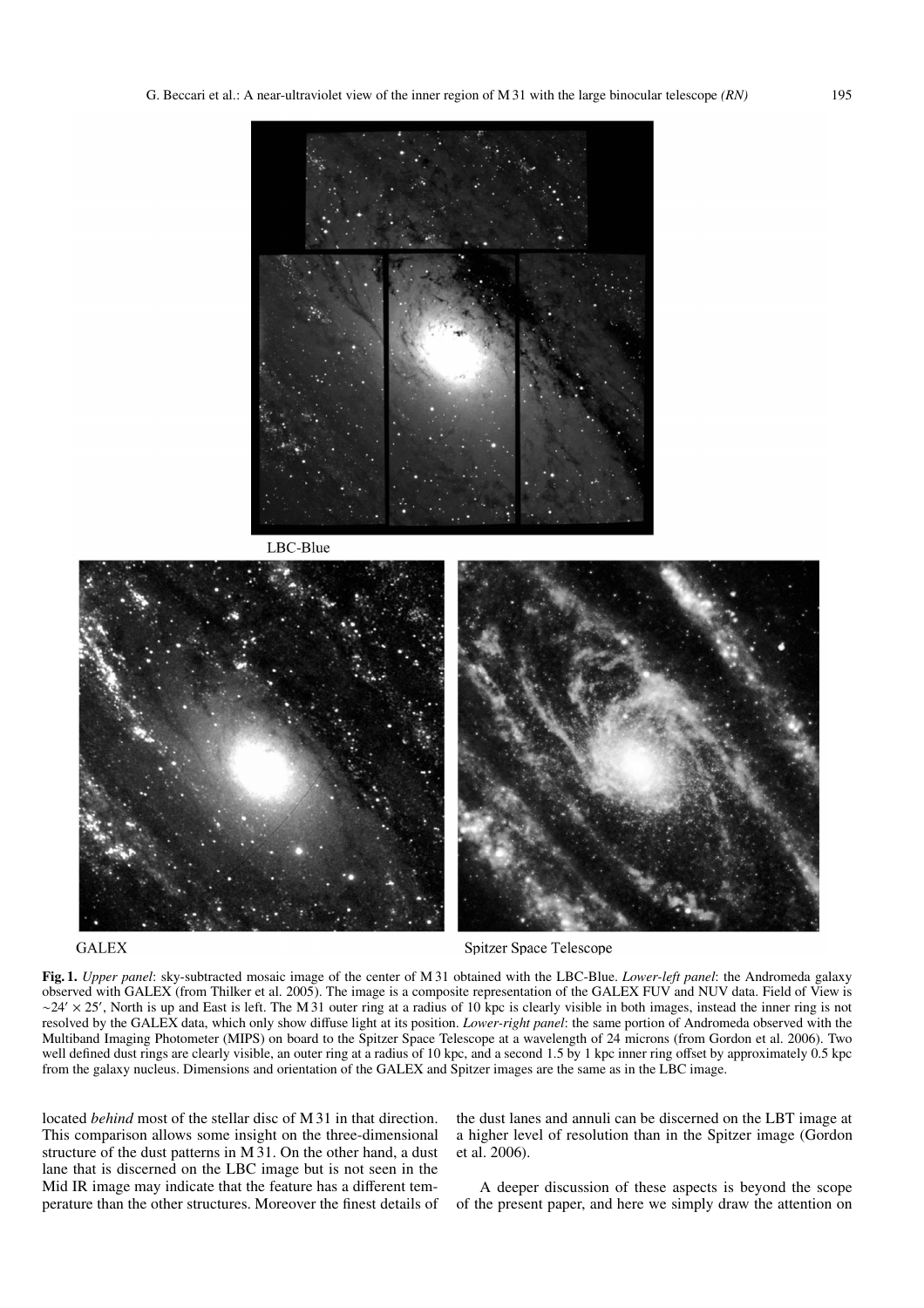

LBC-Blue



# **GALEX**

**Spitzer Space Telescope** 

**Fig. 1.** *Upper panel*: sky-subtracted mosaic image of the center of M 31 obtained with the LBC-Blue. *Lower-left panel*: the Andromeda galaxy observed with GALEX (from Thilker et al. 2005). The image is a composite representation of the GALEX FUV and NUV data. Field of View is  $\sim$  24'  $\times$  25', North is up and East is left. The M 31 outer ring at a radius of 10 kpc is clearly visible in both images, instead the inner ring is not resolved by the GALEX data, which only show diffuse light at its position. *Lower-right panel*: the same portion of Andromeda observed with the Multiband Imaging Photometer (MIPS) on board to the Spitzer Space Telescope at a wavelength of 24 microns (from Gordon et al. 2006). Two well defined dust rings are clearly visible, an outer ring at a radius of 10 kpc, and a second 1.5 by 1 kpc inner ring offset by approximately 0.5 kpc from the galaxy nucleus. Dimensions and orientation of the GALEX and Spitzer images are the same as in the LBC image.

located *behind* most of the stellar disc of M 31 in that direction. This comparison allows some insight on the three-dimensional structure of the dust patterns in M 31. On the other hand, a dust lane that is discerned on the LBC image but is not seen in the Mid IR image may indicate that the feature has a different temperature than the other structures. Moreover the finest details of the dust lanes and annuli can be discerned on the LBT image at a higher level of resolution than in the Spitzer image (Gordon et al. 2006).

A deeper discussion of these aspects is beyond the scope of the present paper, and here we simply draw the attention on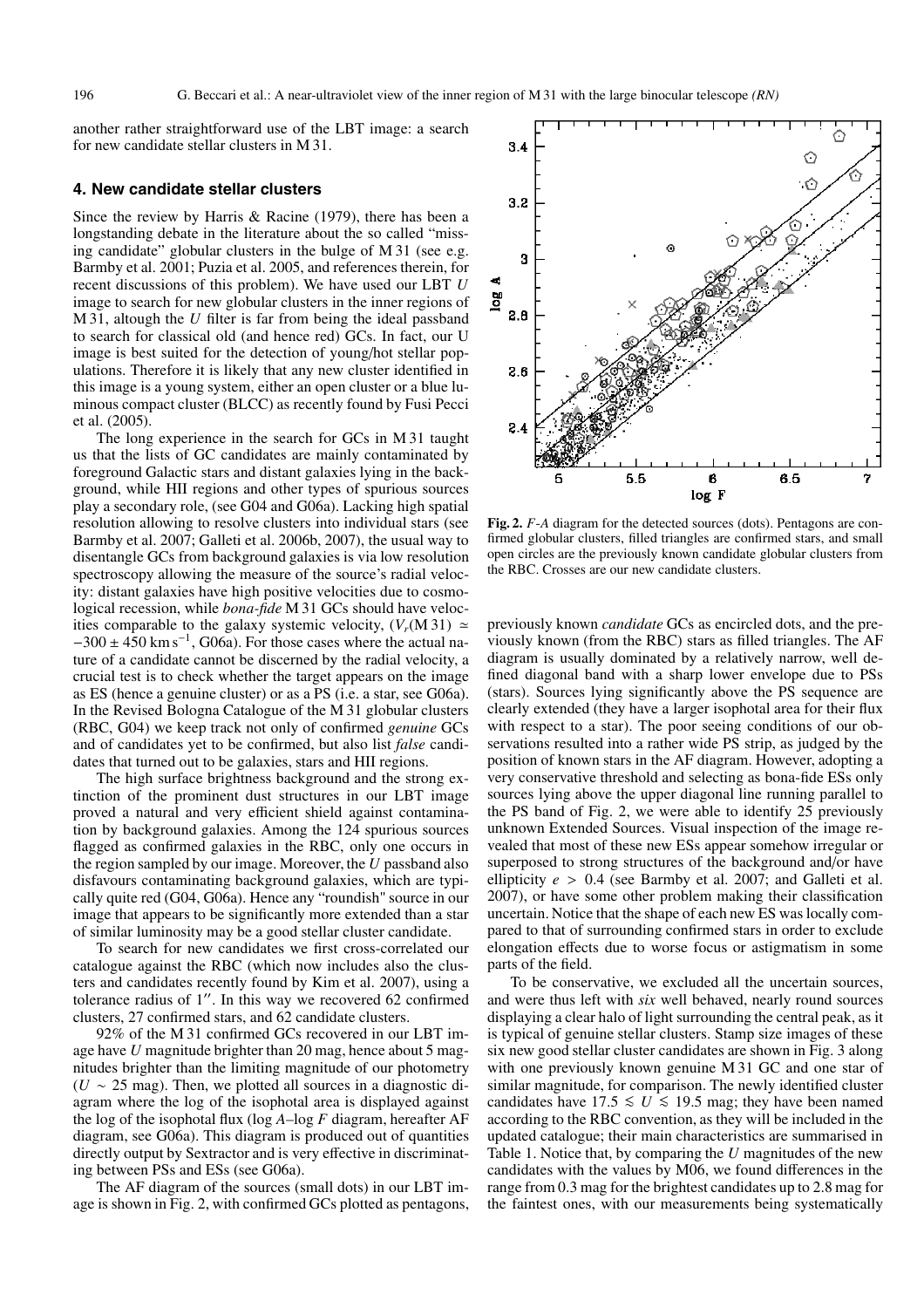another rather straightforward use of the LBT image: a search for new candidate stellar clusters in M 31.

#### **4. New candidate stellar clusters**

Since the review by Harris & Racine (1979), there has been a longstanding debate in the literature about the so called "missing candidate" globular clusters in the bulge of M 31 (see e.g. Barmby et al. 2001; Puzia et al. 2005, and references therein, for recent discussions of this problem). We have used our LBT *U* image to search for new globular clusters in the inner regions of M 31, altough the *U* filter is far from being the ideal passband to search for classical old (and hence red) GCs. In fact, our U image is best suited for the detection of young/hot stellar populations. Therefore it is likely that any new cluster identified in this image is a young system, either an open cluster or a blue luminous compact cluster (BLCC) as recently found by Fusi Pecci et al. (2005).

The long experience in the search for GCs in M 31 taught us that the lists of GC candidates are mainly contaminated by foreground Galactic stars and distant galaxies lying in the background, while HII regions and other types of spurious sources play a secondary role, (see G04 and G06a). Lacking high spatial resolution allowing to resolve clusters into individual stars (see Barmby et al. 2007; Galleti et al. 2006b, 2007), the usual way to disentangle GCs from background galaxies is via low resolution spectroscopy allowing the measure of the source's radial velocity: distant galaxies have high positive velocities due to cosmological recession, while *bona-fide* M 31 GCs should have velocities comparable to the galaxy systemic velocity,  $(V_r(M 31) \simeq$  $-300 \pm 450$  km s<sup>-1</sup>, G06a). For those cases where the actual nature of a candidate cannot be discerned by the radial velocity, a crucial test is to check whether the target appears on the image as ES (hence a genuine cluster) or as a PS (i.e. a star, see G06a). In the Revised Bologna Catalogue of the M 31 globular clusters (RBC, G04) we keep track not only of confirmed *genuine* GCs and of candidates yet to be confirmed, but also list *false* candidates that turned out to be galaxies, stars and HII regions.

The high surface brightness background and the strong extinction of the prominent dust structures in our LBT image proved a natural and very efficient shield against contamination by background galaxies. Among the 124 spurious sources flagged as confirmed galaxies in the RBC, only one occurs in the region sampled by our image. Moreover, the *U* passband also disfavours contaminating background galaxies, which are typically quite red (G04, G06a). Hence any "roundish" source in our image that appears to be significantly more extended than a star of similar luminosity may be a good stellar cluster candidate.

To search for new candidates we first cross-correlated our catalogue against the RBC (which now includes also the clusters and candidates recently found by Kim et al. 2007), using a tolerance radius of 1". In this way we recovered 62 confirmed clusters, 27 confirmed stars, and 62 candidate clusters.

92% of the M 31 confirmed GCs recovered in our LBT image have *U* magnitude brighter than 20 mag, hence about 5 magnitudes brighter than the limiting magnitude of our photometry  $(U \sim 25 \text{ mag})$ . Then, we plotted all sources in a diagnostic diagram where the log of the isophotal area is displayed against the log of the isophotal flux (log *A*–log *F* diagram, hereafter AF diagram, see G06a). This diagram is produced out of quantities directly output by Sextractor and is very effective in discriminating between PSs and ESs (see G06a).

The AF diagram of the sources (small dots) in our LBT image is shown in Fig. 2, with confirmed GCs plotted as pentagons,



**Fig. 2.** *F*-*A* diagram for the detected sources (dots). Pentagons are confirmed globular clusters, filled triangles are confirmed stars, and small open circles are the previously known candidate globular clusters from the RBC. Crosses are our new candidate clusters.

previously known *candidate* GCs as encircled dots, and the previously known (from the RBC) stars as filled triangles. The AF diagram is usually dominated by a relatively narrow, well defined diagonal band with a sharp lower envelope due to PSs (stars). Sources lying significantly above the PS sequence are clearly extended (they have a larger isophotal area for their flux with respect to a star). The poor seeing conditions of our observations resulted into a rather wide PS strip, as judged by the position of known stars in the AF diagram. However, adopting a very conservative threshold and selecting as bona-fide ESs only sources lying above the upper diagonal line running parallel to the PS band of Fig. 2, we were able to identify 25 previously unknown Extended Sources. Visual inspection of the image revealed that most of these new ESs appear somehow irregular or superposed to strong structures of the background and/or have ellipticity *e* > 0.4 (see Barmby et al. 2007; and Galleti et al. 2007), or have some other problem making their classification uncertain. Notice that the shape of each new ES was locally compared to that of surrounding confirmed stars in order to exclude elongation effects due to worse focus or astigmatism in some parts of the field.

To be conservative, we excluded all the uncertain sources, and were thus left with *six* well behaved, nearly round sources displaying a clear halo of light surrounding the central peak, as it is typical of genuine stellar clusters. Stamp size images of these six new good stellar cluster candidates are shown in Fig. 3 along with one previously known genuine M 31 GC and one star of similar magnitude, for comparison. The newly identified cluster candidates have  $17.5 \le U \le 19.5$  mag; they have been named according to the RBC convention, as they will be included in the updated catalogue; their main characteristics are summarised in Table 1. Notice that, by comparing the *U* magnitudes of the new candidates with the values by M06, we found differences in the range from 0.3 mag for the brightest candidates up to 2.8 mag for the faintest ones, with our measurements being systematically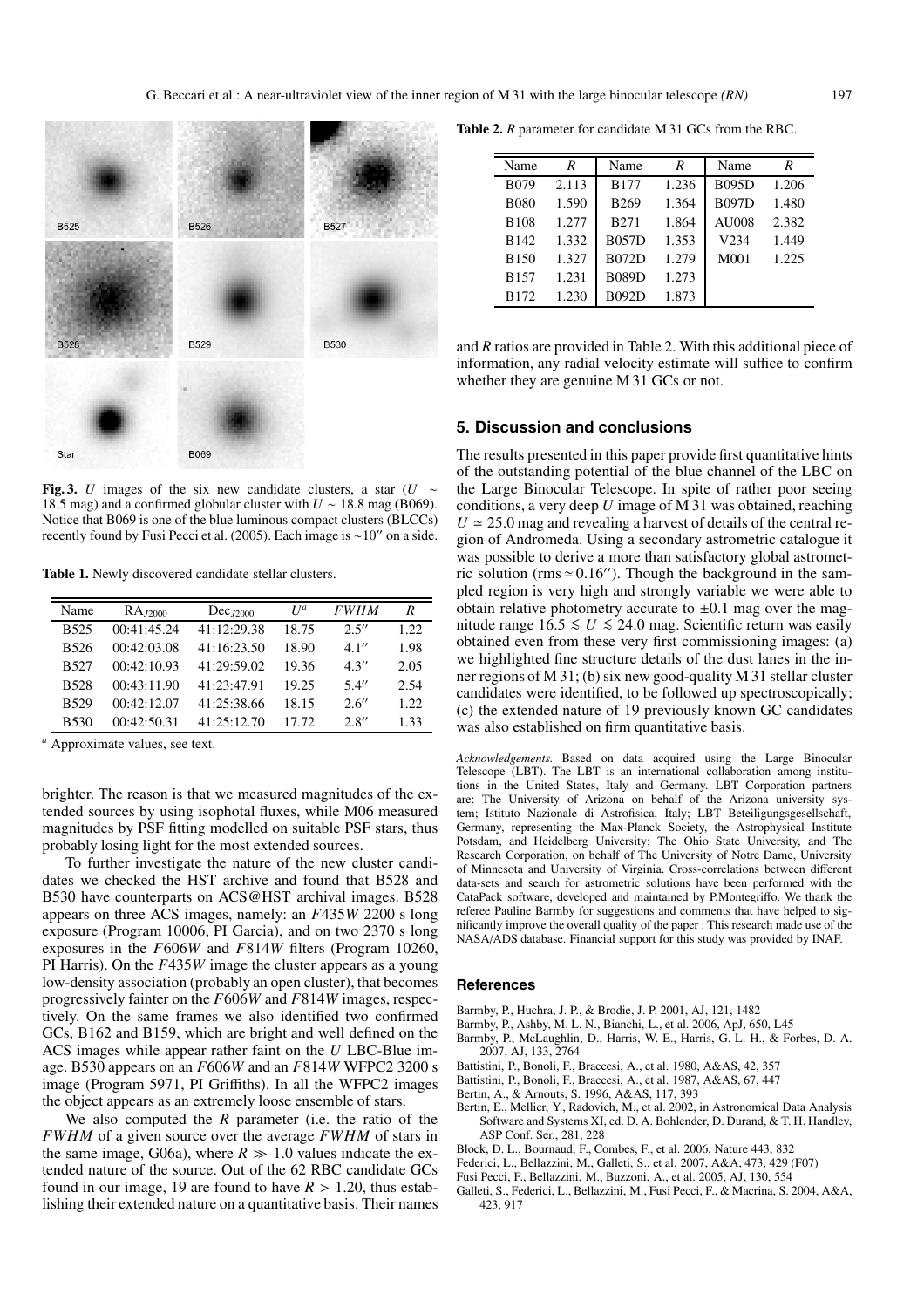

**Fig. 3.** *U* images of the six new candidate clusters, a star (*U* ∼ 18.5 mag) and a confirmed globular cluster with *U* ∼ 18.8 mag (B069). Notice that B069 is one of the blue luminous compact clusters (BLCCs) recently found by Fusi Pecci et al. (2005). Each image is ~10" on a side.

**Table 1.** Newly discovered candidate stellar clusters.

| Name             | $RA_{J2000}$ | $Dec_{J2000}$ | $U^a$ | <b>FWHM</b> | R     |
|------------------|--------------|---------------|-------|-------------|-------|
| B525             | 00:41:45.24  | 41:12:29.38   | 18.75 | 2.5''       | 1.22. |
| B526             | 00:42:03.08  | 41:16:23.50   | 18.90 | 4.1''       | 1.98  |
| B527             | 00:42:10.93  | 41:29:59.02   | 19.36 | 4.3''       | 2.05  |
| <b>B528</b>      | 00:43:11.90  | 41:23:47.91   | 19.25 | 5.4''       | 2.54  |
| <b>B529</b>      | 00:42:12.07  | 41:25:38.66   | 18.15 | 2.6''       | 1.22  |
| B <sub>530</sub> | 00:42:50.31  | 41:25:12.70   | 17.72 | 2.8''       | 1.33  |

*<sup>a</sup>* Approximate values, see text.

brighter. The reason is that we measured magnitudes of the extended sources by using isophotal fluxes, while M06 measured magnitudes by PSF fitting modelled on suitable PSF stars, thus probably losing light for the most extended sources.

To further investigate the nature of the new cluster candidates we checked the HST archive and found that B528 and B530 have counterparts on ACS@HST archival images. B528 appears on three ACS images, namely: an *F*435*W* 2200 s long exposure (Program 10006, PI Garcia), and on two 2370 s long exposures in the *F*606*W* and *F*814*W* filters (Program 10260, PI Harris). On the *F*435*W* image the cluster appears as a young low-density association (probably an open cluster), that becomes progressively fainter on the *F*606*W* and *F*814*W* images, respectively. On the same frames we also identified two confirmed GCs, B162 and B159, which are bright and well defined on the ACS images while appear rather faint on the *U* LBC-Blue image. B530 appears on an *F*606*W* and an *F*814*W* WFPC2 3200 s image (Program 5971, PI Griffiths). In all the WFPC2 images the object appears as an extremely loose ensemble of stars.

We also computed the *R* parameter (i.e. the ratio of the *FWHM* of a given source over the average *FWHM* of stars in the same image, G06a), where  $R \gg 1.0$  values indicate the extended nature of the source. Out of the 62 RBC candidate GCs found in our image, 19 are found to have  $R > 1.20$ , thus establishing their extended nature on a quantitative basis. Their names

**Table 2.** *R* parameter for candidate M 31 GCs from the RBC.

| Name             | R     | Name         | R     | Name         | R     |
|------------------|-------|--------------|-------|--------------|-------|
|                  |       |              |       |              |       |
| B <sub>079</sub> | 2.113 | <b>B177</b>  | 1.236 | <b>B095D</b> | 1.206 |
| <b>B080</b>      | 1.590 | <b>B269</b>  | 1.364 | <b>B097D</b> | 1.480 |
| <b>B108</b>      | 1.277 | B271         | 1.864 | AU008        | 2.382 |
| <b>B142</b>      | 1.332 | <b>B057D</b> | 1.353 | V234         | 1.449 |
| B <sub>150</sub> | 1.327 | <b>B072D</b> | 1.279 | M001         | 1.225 |
| B <sub>157</sub> | 1.231 | <b>B089D</b> | 1.273 |              |       |
| B <sub>172</sub> | 1.230 | <b>B092D</b> | 1.873 |              |       |

and *R* ratios are provided in Table 2. With this additional piece of information, any radial velocity estimate will suffice to confirm whether they are genuine M 31 GCs or not.

#### **5. Discussion and conclusions**

The results presented in this paper provide first quantitative hints of the outstanding potential of the blue channel of the LBC on the Large Binocular Telescope. In spite of rather poor seeing conditions, a very deep *U* image of M 31 was obtained, reaching  $U \approx 25.0$  mag and revealing a harvest of details of the central region of Andromeda. Using a secondary astrometric catalogue it was possible to derive a more than satisfactory global astrometric solution (rms  $\simeq 0.16$ "). Though the background in the sampled region is very high and strongly variable we were able to obtain relative photometry accurate to  $\pm 0.1$  mag over the magnitude range  $16.5 ≤ U ≤ 24.0$  mag. Scientific return was easily obtained even from these very first commissioning images: (a) we highlighted fine structure details of the dust lanes in the inner regions of M 31; (b) six new good-quality M 31 stellar cluster candidates were identified, to be followed up spectroscopically; (c) the extended nature of 19 previously known GC candidates was also established on firm quantitative basis.

*Acknowledgements.* Based on data acquired using the Large Binocular Telescope (LBT). The LBT is an international collaboration among institutions in the United States, Italy and Germany. LBT Corporation partners are: The University of Arizona on behalf of the Arizona university system; Istituto Nazionale di Astrofisica, Italy; LBT Beteiligungsgesellschaft, Germany, representing the Max-Planck Society, the Astrophysical Institute Potsdam, and Heidelberg University; The Ohio State University, and The Research Corporation, on behalf of The University of Notre Dame, University of Minnesota and University of Virginia. Cross-correlations between different data-sets and search for astrometric solutions have been performed with the CataPack software, developed and maintained by P.Montegriffo. We thank the referee Pauline Barmby for suggestions and comments that have helped to significantly improve the overall quality of the paper . This research made use of the NASA/ADS database. Financial support for this study was provided by INAF.

#### **References**

- Barmby, P., Huchra, J. P., & Brodie, J. P. 2001, AJ, 121, 1482
- Barmby, P., Ashby, M. L. N., Bianchi, L., et al. 2006, ApJ, 650, L45
- Barmby, P., McLaughlin, D., Harris, W. E., Harris, G. L. H., & Forbes, D. A. 2007, AJ, 133, 2764
- Battistini, P., Bonoli, F., Braccesi, A., et al. 1980, A&AS, 42, 357
- Battistini, P., Bonoli, F., Braccesi, A., et al. 1987, A&AS, 67, 447
- Bertin, A., & Arnouts, S. 1996, A&AS, 117, 393
- Bertin, E., Mellier, Y., Radovich, M., et al. 2002, in Astronomical Data Analysis Software and Systems XI, ed. D. A. Bohlender, D. Durand, & T. H. Handley, ASP Conf. Ser., 281, 228
- Block, D. L., Bournaud, F., Combes, F., et al. 2006, Nature 443, 832
- Federici, L., Bellazzini, M., Galleti, S., et al. 2007, A&A, 473, 429 (F07)
- Fusi Pecci, F., Bellazzini, M., Buzzoni, A., et al. 2005, AJ, 130, 554
- Galleti, S., Federici, L., Bellazzini, M., Fusi Pecci, F., & Macrina, S. 2004, A&A, 423, 917